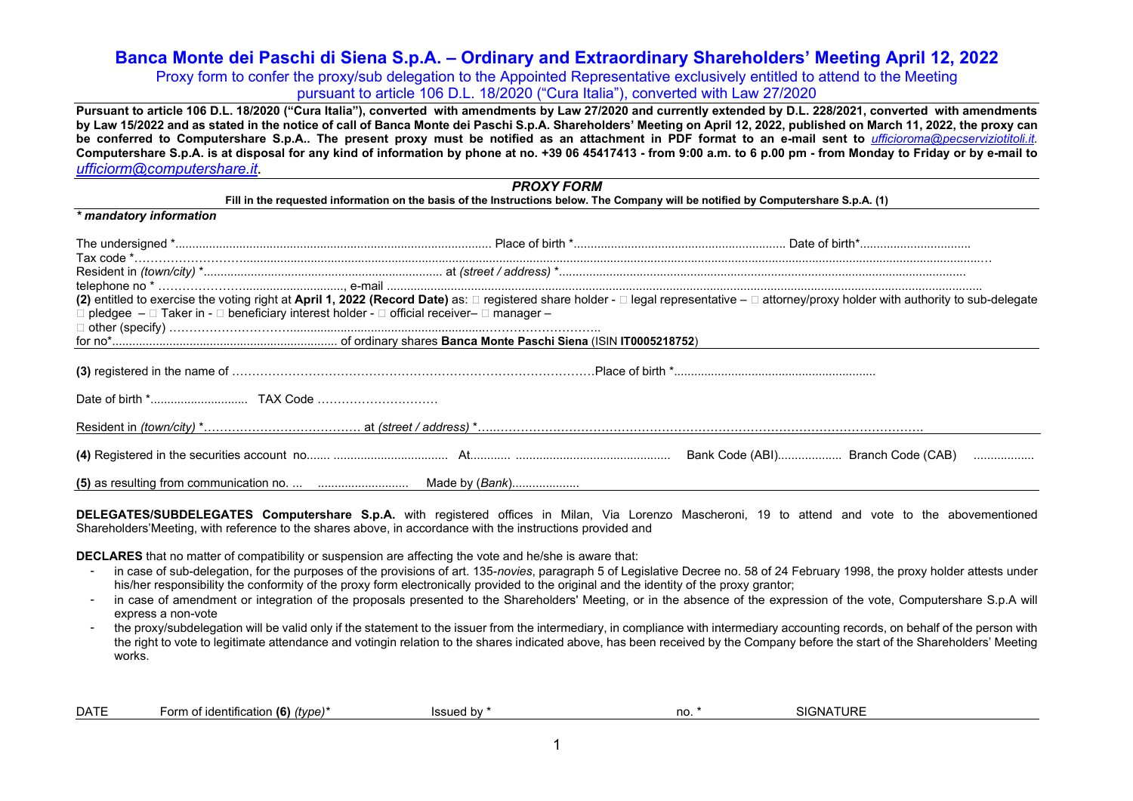Proxy form to confer the proxy/sub delegation to the Appointed Representative exclusively entitled to attend to the Meeting pursuant to article 106 D.L. 18/2020 ("Cura Italia"), converted with Law 27/2020

**Pursuant to article 106 D.L. 18/2020 ("Cura Italia"), converted with amendments by Law 27/2020 and currently extended by D.L. 228/2021, converted with amendments by Law 15/2022 and as stated in the notice of call of Banca Monte dei Paschi S.p.A. Shareholders' Meeting on April 12, 2022, published on March 11, 2022, the proxy can be conferred to Computershare S.p.A.. The present proxy must be notified as an attachment in PDF format to an e-mail sent to** *[ufficioroma@pecserviziotitoli.it.](mailto:ufficioroma@pecserviziotitoli.it)* **Computershare S.p.A. is at disposal for any kind of information by phone at no. +39 06 45417413 - from 9:00 a.m. to 6 p.00 pm - from Monday to Friday or by e-mail to** *ufficiorm@computershare.it***.**

|                         | <b>PROXY FORM</b><br>Fill in the requested information on the basis of the Instructions below. The Company will be notified by Computershare S.p.A. (1) |                                                                                                                                                                                          |
|-------------------------|---------------------------------------------------------------------------------------------------------------------------------------------------------|------------------------------------------------------------------------------------------------------------------------------------------------------------------------------------------|
| * mandatory information |                                                                                                                                                         |                                                                                                                                                                                          |
|                         |                                                                                                                                                         |                                                                                                                                                                                          |
|                         |                                                                                                                                                         |                                                                                                                                                                                          |
|                         |                                                                                                                                                         |                                                                                                                                                                                          |
|                         |                                                                                                                                                         |                                                                                                                                                                                          |
|                         | □ pledgee - □ Taker in - □ beneficiary interest holder - □ official receiver- □ manager -                                                               | (2) entitled to exercise the voting right at April 1, 2022 (Record Date) as: □ registered share holder - □ legal representative - □ attorney/proxy holder with authority to sub-delegate |
|                         |                                                                                                                                                         |                                                                                                                                                                                          |
|                         |                                                                                                                                                         |                                                                                                                                                                                          |
|                         |                                                                                                                                                         |                                                                                                                                                                                          |
|                         |                                                                                                                                                         |                                                                                                                                                                                          |
|                         |                                                                                                                                                         |                                                                                                                                                                                          |
|                         |                                                                                                                                                         |                                                                                                                                                                                          |

**DELEGATES/SUBDELEGATES Computershare S.p.A.** with registered offices in Milan, Via Lorenzo Mascheroni, 19 to attend and vote to the abovementioned Shareholders'Meeting, with reference to the shares above, in accordance with the instructions provided and

**DECLARES** that no matter of compatibility or suspension are affecting the vote and he/she is aware that:

- in case of sub-delegation, for the purposes of the provisions of art. 135-*novies*, paragraph 5 of Legislative Decree no. 58 of 24 February 1998, the proxy holder attests under his/her responsibility the conformity of the proxy form electronically provided to the original and the identity of the proxy grantor;
- in case of amendment or integration of the proposals presented to the Shareholders' Meeting, or in the absence of the expression of the vote, Computershare S.p.A will express a non-vote
- the proxy/subdelegation will be valid only if the statement to the issuer from the intermediary, in compliance with intermediary accounting records, on behalf of the person with the right to vote to legitimate attendance and votingin relation to the shares indicated above, has been received by the Company before the start of the Shareholders' Meeting works.

| <b>DATE</b> | identification (6)<br>(type)*<br>orm | <b>Issued by</b> | no | $-1$<br>SIGNA1<br>™UR∟ |  |
|-------------|--------------------------------------|------------------|----|------------------------|--|
|-------------|--------------------------------------|------------------|----|------------------------|--|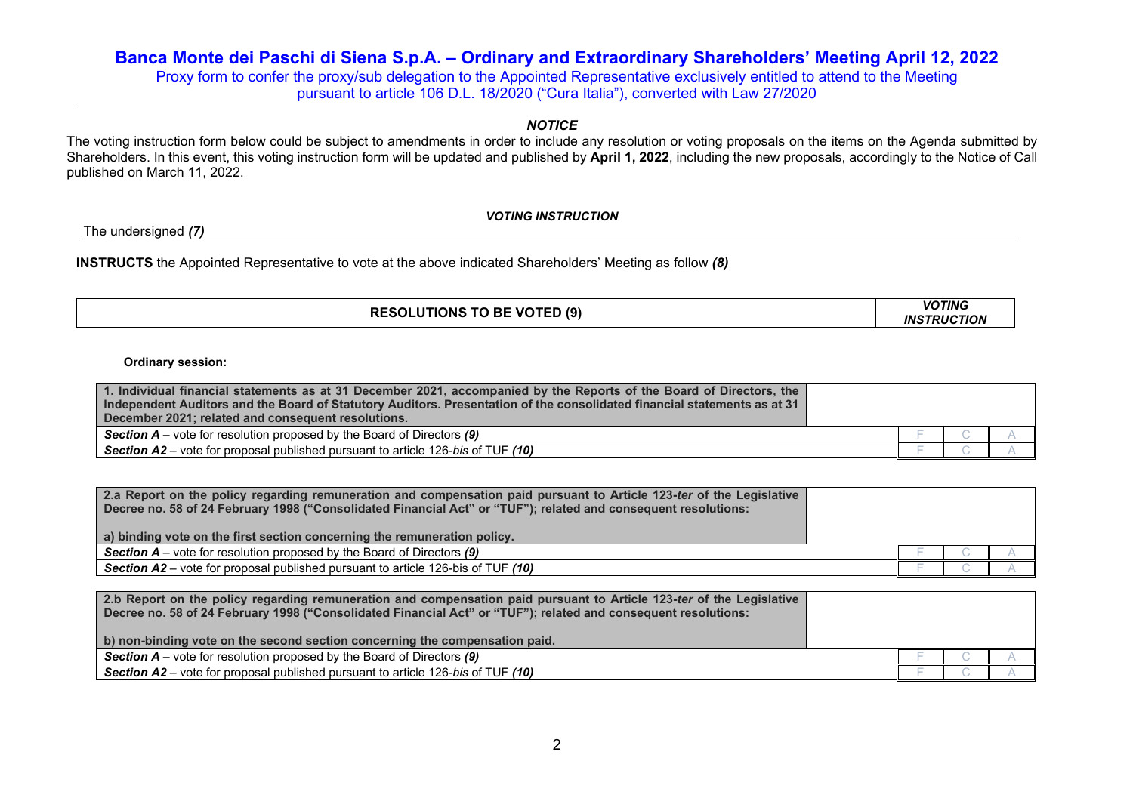Proxy form to confer the proxy/sub delegation to the Appointed Representative exclusively entitled to attend to the Meeting pursuant to article 106 D.L. 18/2020 ("Cura Italia"), converted with Law 27/2020

### *NOTICE*

The voting instruction form below could be subject to amendments in order to include any resolution or voting proposals on the items on the Agenda submitted by Shareholders. In this event, this voting instruction form will be updated and published by **April 1, 2022**, including the new proposals, accordingly to the Notice of Call published on March 11, 2022.

### *VOTING INSTRUCTION*

The undersigned *(7)*

**INSTRUCTS** the Appointed Representative to vote at the above indicated Shareholders' Meeting as follow *(8)*

|                                    | <b>VOTING</b>      |
|------------------------------------|--------------------|
| <b>RESOLUTIONS TO BE VOTED (9)</b> | <b>INSTRUCTION</b> |

### **Ordinary session:**

| 1. Individual financial statements as at 31 December 2021, accompanied by the Reports of the Board of Directors, the<br>Independent Auditors and the Board of Statutory Auditors. Presentation of the consolidated financial statements as at 31<br>December 2021: related and consequent resolutions. |  |  |
|--------------------------------------------------------------------------------------------------------------------------------------------------------------------------------------------------------------------------------------------------------------------------------------------------------|--|--|
| <b>Section A</b> – vote for resolution proposed by the Board of Directors (9)                                                                                                                                                                                                                          |  |  |
| <b>Section A2</b> – vote for proposal published pursuant to article 126-bis of TUF (10)                                                                                                                                                                                                                |  |  |

| 2.a Report on the policy regarding remuneration and compensation paid pursuant to Article 123-ter of the Legislative<br>Decree no. 58 of 24 February 1998 ("Consolidated Financial Act" or "TUF"); related and consequent resolutions:<br>a) binding vote on the first section concerning the remuneration policy. |  |  |
|--------------------------------------------------------------------------------------------------------------------------------------------------------------------------------------------------------------------------------------------------------------------------------------------------------------------|--|--|
| <b>Section A</b> – vote for resolution proposed by the Board of Directors (9)                                                                                                                                                                                                                                      |  |  |
| <b>Section A2</b> – vote for proposal published pursuant to article 126-bis of TUF (10)                                                                                                                                                                                                                            |  |  |

| 2.b Report on the policy regarding remuneration and compensation paid pursuant to Article 123-ter of the Legislative<br>Decree no. 58 of 24 February 1998 ("Consolidated Financial Act" or "TUF"); related and consequent resolutions:<br>b) non-binding vote on the second section concerning the compensation paid. |  |  |
|-----------------------------------------------------------------------------------------------------------------------------------------------------------------------------------------------------------------------------------------------------------------------------------------------------------------------|--|--|
| <b>Section A</b> – vote for resolution proposed by the Board of Directors (9)                                                                                                                                                                                                                                         |  |  |
| <b>Section A2</b> – vote for proposal published pursuant to article 126-bis of TUF (10)                                                                                                                                                                                                                               |  |  |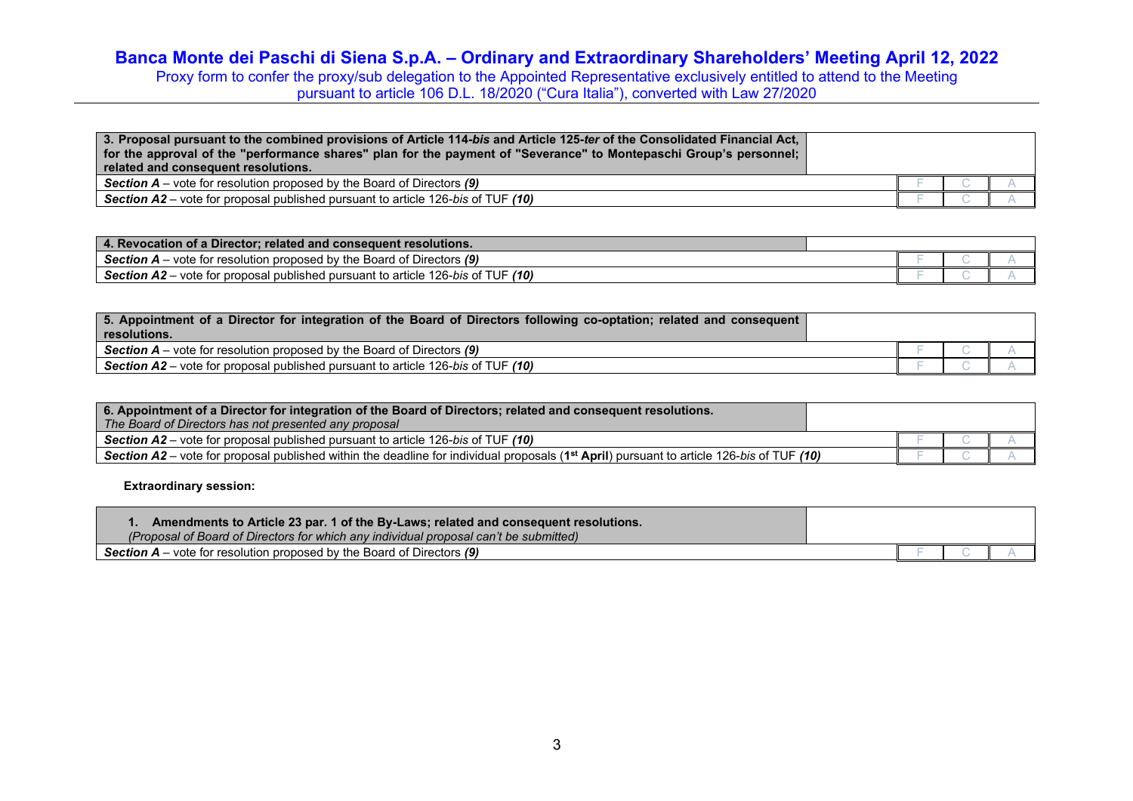Proxy form to confer the proxy/sub delegation to the Appointed Representative exclusively entitled to attend to the Meeting pursuant to article 106 D.L. 18/2020 ("Cura Italia"), converted with Law 27/2020

| 3. Proposal pursuant to the combined provisions of Article 114-bis and Article 125-ter of the Consolidated Financial Act,<br>for the approval of the "performance shares" plan for the payment of "Severance" to Montepaschi Group's personnel;<br>related and consequent resolutions. |  |  |
|----------------------------------------------------------------------------------------------------------------------------------------------------------------------------------------------------------------------------------------------------------------------------------------|--|--|
| <b>Section A</b> – vote for resolution proposed by the Board of Directors (9)                                                                                                                                                                                                          |  |  |
| <b>Section A2</b> – vote for proposal published pursuant to article 126-bis of TUF (10)                                                                                                                                                                                                |  |  |

| related and consequent resolutions.<br><b>Revocation of a</b><br><b>LUI</b> rector                                                             |  |  |
|------------------------------------------------------------------------------------------------------------------------------------------------|--|--|
| lirectors (9)<br><b>Section</b><br>Board ⊾<br>h۱.<br>≀ the<br>م <del>ا</del> م ر<br>e for resolution<br>ı proposed<br>$\overline{\phantom{0}}$ |  |  |
| UF (10)<br>126- <i>bis</i> of<br>Section $A2-$<br>article ›<br>vote for proposal<br>l published pursuant i<br>$\sim$<br>. เo an                |  |  |

| 5. Appointment of a Director for integration of the Board of Directors following co-optation; related and consequent<br>resolutions. |  |  |
|--------------------------------------------------------------------------------------------------------------------------------------|--|--|
| Section $A$ – vote for resolution proposed by the Board of Directors (9)                                                             |  |  |
| <b>Section A2</b> – vote for proposal published pursuant to article 126-bis of TUF (10)                                              |  |  |

| 6. Appointment of a Director for integration of the Board of Directors; related and consequent resolutions.                                                  |  |  |
|--------------------------------------------------------------------------------------------------------------------------------------------------------------|--|--|
| The Board of Directors has not presented any proposal                                                                                                        |  |  |
| <b>Section A2</b> – vote for proposal published pursuant to article 126-bis of TUF (10)                                                                      |  |  |
| <b>Section A2</b> – vote for proposal published within the deadline for individual proposals (1 <sup>st</sup> April) pursuant to article 126-bis of TUF (10) |  |  |

**Extraordinary session:**

| Amendments to Article 23 par. 1 of the By-Laws; related and consequent resolutions.<br>(Proposal of Board of Directors for which any individual proposal can't be submitted) |  |  |
|------------------------------------------------------------------------------------------------------------------------------------------------------------------------------|--|--|
| <b>Section A</b> – vote for resolution proposed by the Board of Directors $(9)$                                                                                              |  |  |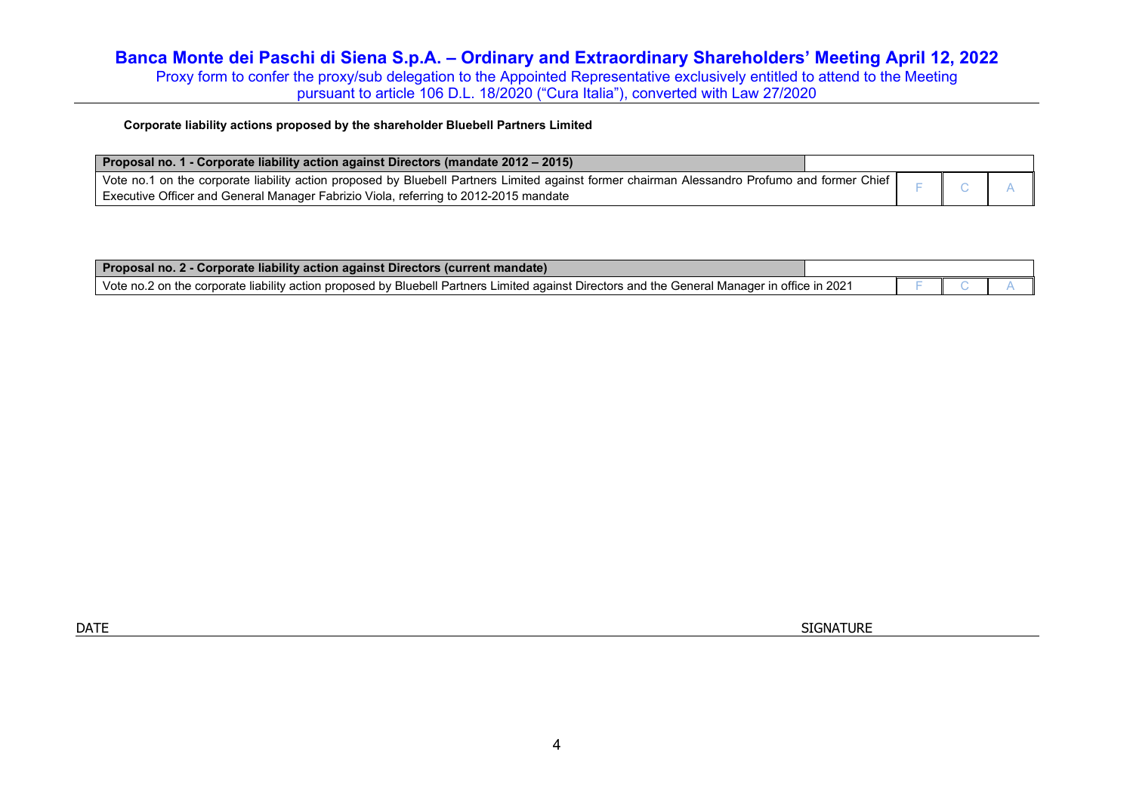Proxy form to confer the proxy/sub delegation to the Appointed Representative exclusively entitled to attend to the Meeting pursuant to article 106 D.L. 18/2020 ("Cura Italia"), converted with Law 27/2020

**Corporate liability actions proposed by the shareholder Bluebell Partners Limited**

| Proposal no. 1 - Corporate liability action against Directors (mandate 2012 - 2015)                                                           |  |  |
|-----------------------------------------------------------------------------------------------------------------------------------------------|--|--|
| Vote no.1 on the corporate liability action proposed by Bluebell Partners Limited against former chairman Alessandro Profumo and former Chief |  |  |
| Executive Officer and General Manager Fabrizio Viola, referring to 2012-2015 mandate                                                          |  |  |

| Proposal no. 2 - Corporate liability action against Directors (current mandate)                                                                        |  |  |
|--------------------------------------------------------------------------------------------------------------------------------------------------------|--|--|
| office in 2021 ا<br>l Vote no.2 on the corporate liability action proposed by Bluebell Partners Limited against Directors and the General Manager in ∈ |  |  |

DATE SIGNATURE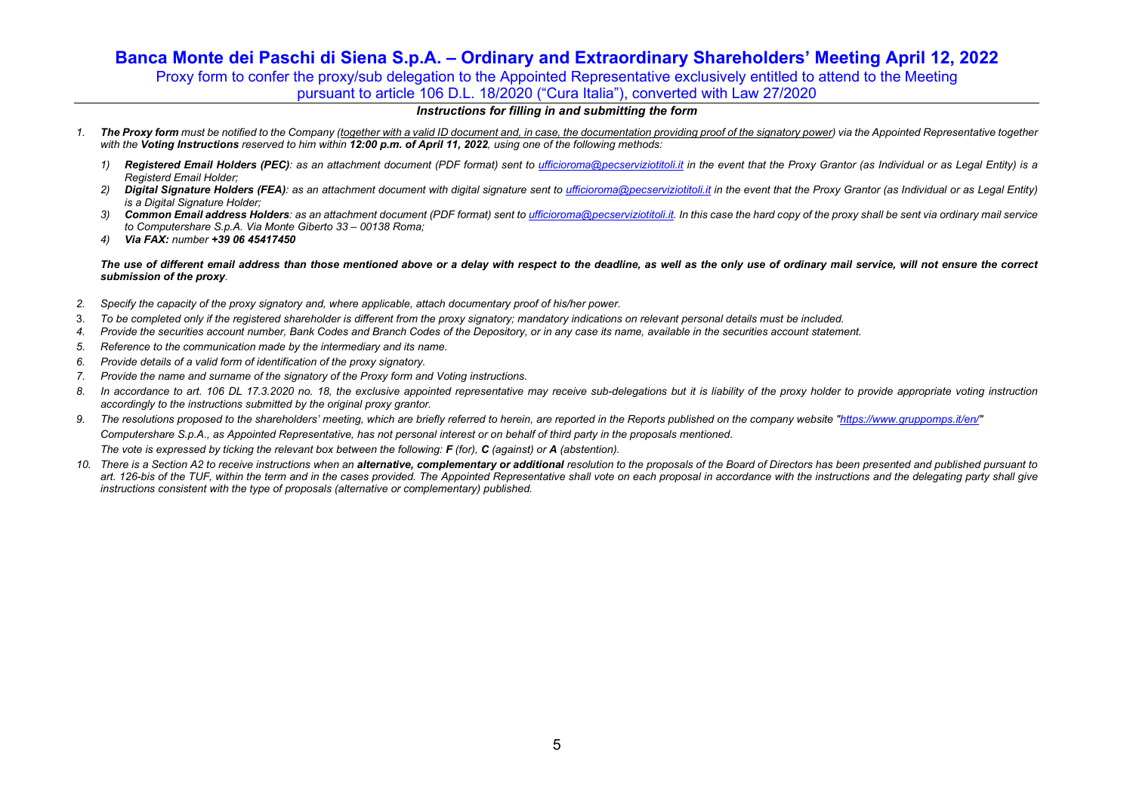Proxy form to confer the proxy/sub delegation to the Appointed Representative exclusively entitled to attend to the Meeting pursuant to article 106 D.L. 18/2020 ("Cura Italia"), converted with Law 27/2020

#### *Instructions for filling in and submitting the form*

- 1. **The Proxy form** must be notified to the Company (together with a valid ID document and, in case, the documentation providing proof of the signatory power) via the Appointed Representative together *with the Voting Instructions reserved to him within 12:00 p.m. of April 11, 2022, using one of the following methods:*
	- 1) Registered Email Holders (PEC): as an attachment document (PDF format) sent to [ufficioroma@pecserviziotitoli.it](mailto:ufficioroma@pecserviziotitoli.it) in the event that the Proxy Grantor (as Individual or as Legal Entity) is a *Registerd Email Holder;*
	- 2) Digital Signature Holders (FEA): as an attachment document with digital signature sent to [ufficioroma@pecserviziotitoli.it](mailto:ufficioroma@pecserviziotitoli.it) in the event that the Proxy Grantor (as Individual or as Legal Entity) *is a Digital Signature Holder;*
	- 3) Common Email address Holders: as an attachment document (PDF format) sent t[o ufficioroma@pecserviziotitoli.it.](mailto:xxxxx@pecserviziotitoli.it) In this case the hard copy of the proxy shall be sent via ordinary mail service *to Computershare S.p.A. Via Monte Giberto 33 – 00138 Roma;*
	- *4) Via FAX: number +39 06 45417450*

*The use of different email address than those mentioned above or a delay with respect to the deadline, as well as the only use of ordinary mail service, will not ensure the correct submission of the proxy.* 

- *2. Specify the capacity of the proxy signatory and, where applicable, attach documentary proof of his/her power.*
- 3. *To be completed only if the registered shareholder is different from the proxy signatory; mandatory indications on relevant personal details must be included.*
- *4. Provide the securities account number, Bank Codes and Branch Codes of the Depository, or in any case its name, available in the securities account statement.*
- *5. Reference to the communication made by the intermediary and its name.*
- *6. Provide details of a valid form of identification of the proxy signatory.*
- *7. Provide the name and surname of the signatory of the Proxy form and Voting instructions.*
- 8. In accordance to art. 106 DL 17.3.2020 no. 18, the exclusive appointed representative may receive sub-delegations but it is liability of the proxy holder to provide appropriate voting instruction *accordingly to the instructions submitted by the original proxy grantor.*
- 9. The resolutions proposed to the shareholders' meeting, which are briefly referred to herein, are reported in the Reports published on the company website ["https://www.gruppomps.it/en/"](https://www.gruppomps.it/en/) *Computershare S.p.A., as Appointed Representative, has not personal interest or on behalf of third party in the proposals mentioned. The vote is expressed by ticking the relevant box between the following: F (for), C (against) or A (abstention).*
- 10. There is a Section A2 to receive instructions when an alternative, complementary or additional resolution to the proposals of the Board of Directors has been presented and published pursuant to art. 126-bis of the TUF, within the term and in the cases provided. The Appointed Representative shall vote on each proposal in accordance with the instructions and the delegating party shall give *instructions consistent with the type of proposals (alternative or complementary) published.*